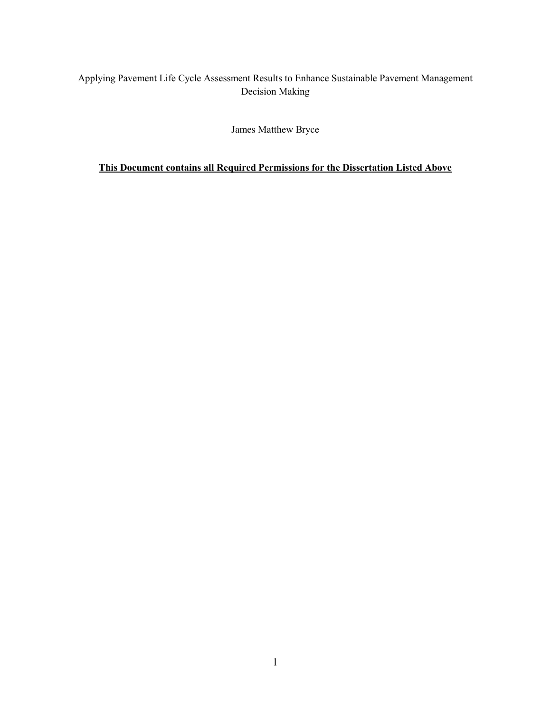## Applying Pavement Life Cycle Assessment Results to Enhance Sustainable Pavement Management Decision Making

## James Matthew Bryce

## **This Document contains all Required Permissions for the Dissertation Listed Above**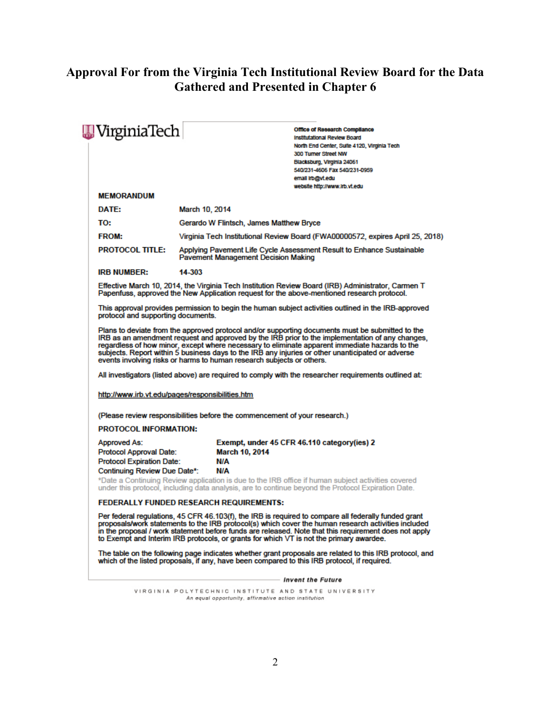# **Approval For from the Virginia Tech Institutional Review Board for the Data Gathered and Presented in Chapter 6**

| VirginiaTech                                                                       | <b>Office of Research Compilance</b><br><b>Institutational Review Board</b><br>North End Center, Suite 4120, Virginia Tech<br>300 Turner Street NW<br>Blacksburg, Virginia 24061<br>540/231-4606 Fax 540/231-0959<br>email irb@vt.edu                                                                                                                                                                                                                                                                                                                                                        |
|------------------------------------------------------------------------------------|----------------------------------------------------------------------------------------------------------------------------------------------------------------------------------------------------------------------------------------------------------------------------------------------------------------------------------------------------------------------------------------------------------------------------------------------------------------------------------------------------------------------------------------------------------------------------------------------|
| <b>MEMORANDUM</b>                                                                  | website http://www.irb.vt.edu                                                                                                                                                                                                                                                                                                                                                                                                                                                                                                                                                                |
| DATE:                                                                              | March 10, 2014                                                                                                                                                                                                                                                                                                                                                                                                                                                                                                                                                                               |
| TO:                                                                                | Gerardo W Flintsch, James Matthew Bryce                                                                                                                                                                                                                                                                                                                                                                                                                                                                                                                                                      |
| <b>FROM:</b>                                                                       | Virginia Tech Institutional Review Board (FWA00000572, expires April 25, 2018)                                                                                                                                                                                                                                                                                                                                                                                                                                                                                                               |
| <b>PROTOCOL TITLE:</b>                                                             | Applying Pavement Life Cycle Assessment Result to Enhance Sustainable<br><b>Pavement Management Decision Making</b>                                                                                                                                                                                                                                                                                                                                                                                                                                                                          |
| <b>IRB NUMBER:</b>                                                                 | 14-303                                                                                                                                                                                                                                                                                                                                                                                                                                                                                                                                                                                       |
|                                                                                    | Effective March 10, 2014, the Virginia Tech Institution Review Board (IRB) Administrator, Carmen T<br>Papenfuss, approved the New Application request for the above-mentioned research protocol.                                                                                                                                                                                                                                                                                                                                                                                             |
| protocol and supporting documents.                                                 | This approval provides permission to begin the human subject activities outlined in the IRB-approved                                                                                                                                                                                                                                                                                                                                                                                                                                                                                         |
| http://www.irb.vt.edu/pages/responsibilities.htm                                   | Plans to deviate from the approved protocol and/or supporting documents must be submitted to the<br>IRB as an amendment request and approved by the IRB prior to the implementation of any changes,<br>regardless of how minor, except where necessary to eliminate apparent immediate hazards to the<br>subjects. Report within 5 business days to the IRB any injuries or other unanticipated or adverse<br>events involving risks or harms to human research subjects or others.<br>All investigators (listed above) are required to comply with the researcher requirements outlined at: |
|                                                                                    | (Please review responsibilities before the commencement of your research.)                                                                                                                                                                                                                                                                                                                                                                                                                                                                                                                   |
| <b>PROTOCOL INFORMATION:</b>                                                       |                                                                                                                                                                                                                                                                                                                                                                                                                                                                                                                                                                                              |
| Approved As:<br><b>Protocol Approval Date:</b><br><b>Protocol Expiration Date:</b> | Exempt, under 45 CFR 46.110 category(ies) 2<br><b>March 10, 2014</b><br>N/A                                                                                                                                                                                                                                                                                                                                                                                                                                                                                                                  |
| Continuing Review Due Date*:                                                       | N/A<br>*Date a Continuing Review application is due to the IRB office if human subject activities covered<br>under this protocol, including data analysis, are to continue beyond the Protocol Expiration Date.                                                                                                                                                                                                                                                                                                                                                                              |
|                                                                                    | <b>FEDERALLY FUNDED RESEARCH REQUIREMENTS:</b>                                                                                                                                                                                                                                                                                                                                                                                                                                                                                                                                               |
|                                                                                    | Per federal regulations, 45 CFR 46.103(f), the IRB is required to compare all federally funded grant<br>proposals/work statements to the IRB protocol(s) which cover the human research activities included<br>in the proposal / work statement before funds are released. Note that this requirement does not apply<br>to Exempt and Interim IRB protocols, or grants for which VT is not the primary awardee.                                                                                                                                                                              |
|                                                                                    | The table on the following page indicates whether grant proposals are related to this IRB protocol, and<br>which of the listed proposals, if any, have been compared to this IRB protocol, if required.                                                                                                                                                                                                                                                                                                                                                                                      |
|                                                                                    | - Invent the Future                                                                                                                                                                                                                                                                                                                                                                                                                                                                                                                                                                          |
|                                                                                    | VIRGINIA POLYTECHNIC INSTITUTE AND STATE UNIVERSITY                                                                                                                                                                                                                                                                                                                                                                                                                                                                                                                                          |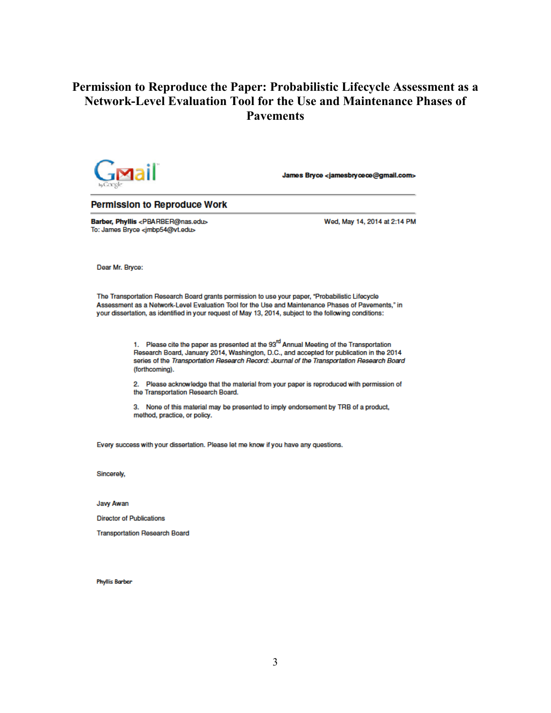# Permission to Reproduce the Paper: Probabilistic Lifecycle Assessment as a **Network-Level Evaluation Tool for the Use and Maintenance Phases of Pavements**



James Bryce <jamesbrycece@gmail.com>

#### **Permission to Reproduce Work**

Barber, Phyllis <PBARBER@nas.edu> To: James Bryce <jmbp54@vt.edu>

Wed, May 14, 2014 at 2:14 PM

Dear Mr. Bryce:

The Transportation Research Board grants permission to use your paper, "Probabilistic Lifecycle Assessment as a Network-Level Evaluation Tool for the Use and Maintenance Phases of Pavements." in your dissertation, as identified in your request of May 13, 2014, subject to the following conditions:

> 1. Please cite the paper as presented at the 93<sup>rd</sup> Annual Meeting of the Transportation Research Board, January 2014, Washington, D.C., and accepted for publication in the 2014 series of the Transportation Research Record: Journal of the Transportation Research Board (forthcomina).

2. Please acknowledge that the material from your paper is reproduced with permission of the Transportation Research Board.

3. None of this material may be presented to imply endorsement by TRB of a product, method, practice, or policy.

Every success with your dissertation. Please let me know if you have any questions.

Sincerelv.

Javy Awan

**Director of Publications** 

**Transportation Research Board** 

**Phyllis Barber**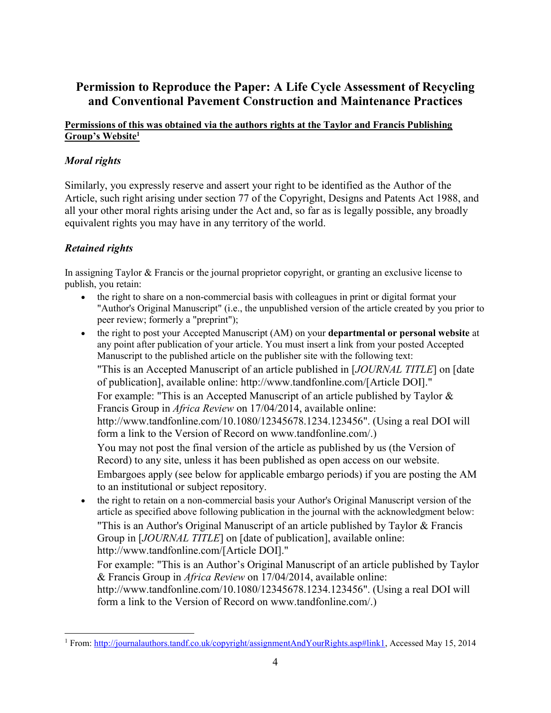# **Permission to Reproduce the Paper: A Life Cycle Assessment of Recycling and Conventional Pavement Construction and Maintenance Practices**

#### **Permissions of this was obtained via the authors rights at the Taylor and Francis Publishing Group's Website<sup>1</sup>**

## *Moral rights*

Similarly, you expressly reserve and assert your right to be identified as the Author of the Article, such right arising under section 77 of the Copyright, Designs and Patents Act 1988, and all your other moral rights arising under the Act and, so far as is legally possible, any broadly equivalent rights you may have in any territory of the world.

## *Retained rights*

In assigning Taylor & Francis or the journal proprietor copyright, or granting an exclusive license to publish, you retain:

- the right to share on a non-commercial basis with colleagues in print or digital format your "Author's Original Manuscript" (i.e., the unpublished version of the article created by you prior to peer review; formerly a "preprint");
- the right to post your Accepted Manuscript (AM) on your **departmental or personal website** at any point after publication of your article. You must insert a link from your posted Accepted Manuscript to the published article on the publisher site with the following text:

"This is an Accepted Manuscript of an article published in [*JOURNAL TITLE*] on [date of publication], available online: http://www.tandfonline.com/[Article DOI]."

For example: "This is an Accepted Manuscript of an article published by Taylor & Francis Group in *Africa Review* on 17/04/2014, available online:

http://www.tandfonline.com/10.1080/12345678.1234.123456". (Using a real DOI will form a link to the Version of Record on www.tandfonline.com/.)

You may not post the final version of the article as published by us (the Version of Record) to any site, unless it has been published as open access on our website. Embargoes apply (see below for applicable embargo periods) if you are posting the AM

to an institutional or subject repository.

 the right to retain on a non-commercial basis your Author's Original Manuscript version of the article as specified above following publication in the journal with the acknowledgment below: "This is an Author's Original Manuscript of an article published by Taylor & Francis Group in [*JOURNAL TITLE*] on [date of publication], available online: http://www.tandfonline.com/[Article DOI]."

For example: "This is an Author's Original Manuscript of an article published by Taylor & Francis Group in *Africa Review* on 17/04/2014, available online: http://www.tandfonline.com/10.1080/12345678.1234.123456". (Using a real DOI will form a link to the Version of Record on www.tandfonline.com/.)

 $\overline{a}$ <sup>1</sup> From[: http://journalauthors.tandf.co.uk/copyright/assignmentAndYourRights.asp#link1,](http://journalauthors.tandf.co.uk/copyright/assignmentAndYourRights.asp#link1) Accessed May 15, 2014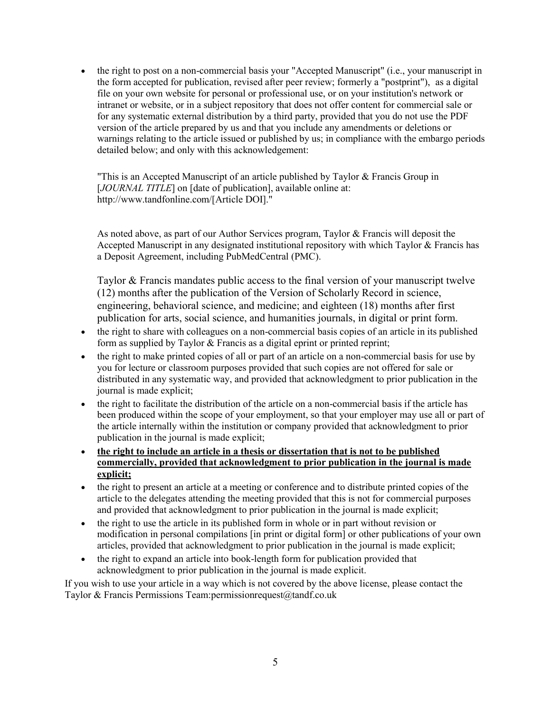• the right to post on a non-commercial basis your "Accepted Manuscript" (i.e., your manuscript in the form accepted for publication, revised after peer review; formerly a "postprint"), as a digital file on your own website for personal or professional use, or on your institution's network or intranet or website, or in a subject repository that does not offer content for commercial sale or for any systematic external distribution by a third party, provided that you do not use the PDF version of the article prepared by us and that you include any amendments or deletions or warnings relating to the article issued or published by us; in compliance with the embargo periods detailed below; and only with this acknowledgement:

"This is an Accepted Manuscript of an article published by Taylor & Francis Group in [*JOURNAL TITLE*] on [date of publication], available online at: http://www.tandfonline.com/[Article DOI]."

As noted above, as part of our Author Services program, Taylor & Francis will deposit the Accepted Manuscript in any designated institutional repository with which Taylor & Francis has a Deposit Agreement, including PubMedCentral (PMC).

Taylor & Francis mandates public access to the final version of your manuscript twelve (12) months after the publication of the Version of Scholarly Record in science, engineering, behavioral science, and medicine; and eighteen (18) months after first publication for arts, social science, and humanities journals, in digital or print form.

- the right to share with colleagues on a non-commercial basis copies of an article in its published form as supplied by Taylor  $&$  Francis as a digital eprint or printed reprint;
- the right to make printed copies of all or part of an article on a non-commercial basis for use by you for lecture or classroom purposes provided that such copies are not offered for sale or distributed in any systematic way, and provided that acknowledgment to prior publication in the journal is made explicit;
- the right to facilitate the distribution of the article on a non-commercial basis if the article has been produced within the scope of your employment, so that your employer may use all or part of the article internally within the institution or company provided that acknowledgment to prior publication in the journal is made explicit;
- **the right to include an article in a thesis or dissertation that is not to be published commercially, provided that acknowledgment to prior publication in the journal is made explicit;**
- the right to present an article at a meeting or conference and to distribute printed copies of the article to the delegates attending the meeting provided that this is not for commercial purposes and provided that acknowledgment to prior publication in the journal is made explicit;
- the right to use the article in its published form in whole or in part without revision or modification in personal compilations [in print or digital form] or other publications of your own articles, provided that acknowledgment to prior publication in the journal is made explicit;
- the right to expand an article into book-length form for publication provided that acknowledgment to prior publication in the journal is made explicit.

If you wish to use your article in a way which is not covered by the above license, please contact the Taylor & Francis Permissions Team:permissionrequest@tandf.co.uk